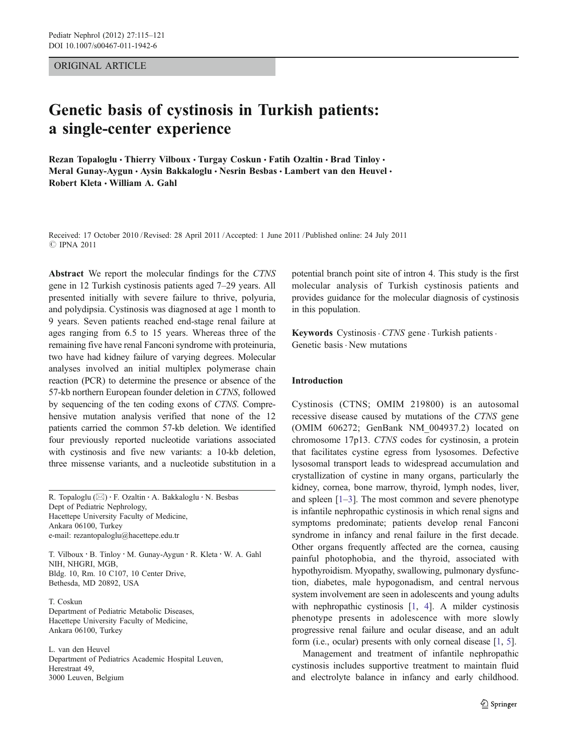ORIGINAL ARTICLE

# Genetic basis of cystinosis in Turkish patients: a single-center experience

Rezan Topaloglu • Thierry Vilboux • Turgay Coskun • Fatih Ozaltin • Brad Tinloy • Meral Gunay-Aygun · Aysin Bakkaloglu · Nesrin Besbas · Lambert van den Heuvel · Robert Kleta · William A. Gahl

Received: 17 October 2010 /Revised: 28 April 2011 /Accepted: 1 June 2011 / Published online: 24 July 2011 **C** IPNA 2011

Abstract We report the molecular findings for the CTNS gene in 12 Turkish cystinosis patients aged 7–29 years. All presented initially with severe failure to thrive, polyuria, and polydipsia. Cystinosis was diagnosed at age 1 month to 9 years. Seven patients reached end-stage renal failure at ages ranging from 6.5 to 15 years. Whereas three of the remaining five have renal Fanconi syndrome with proteinuria, two have had kidney failure of varying degrees. Molecular analyses involved an initial multiplex polymerase chain reaction (PCR) to determine the presence or absence of the 57-kb northern European founder deletion in CTNS, followed by sequencing of the ten coding exons of CTNS. Comprehensive mutation analysis verified that none of the 12 patients carried the common 57-kb deletion. We identified four previously reported nucleotide variations associated with cystinosis and five new variants: a 10-kb deletion, three missense variants, and a nucleotide substitution in a

R. Topaloglu  $(\boxtimes) \cdot$  F. Ozaltin  $\cdot$  A. Bakkaloglu  $\cdot$  N. Besbas Dept of Pediatric Nephrology, Hacettepe University Faculty of Medicine, Ankara 06100, Turkey e-mail: rezantopaloglu@hacettepe.edu.tr

T. Vilboux : B. Tinloy : M. Gunay-Aygun : R. Kleta : W. A. Gahl NIH, NHGRI, MGB, Bldg. 10, Rm. 10 C107, 10 Center Drive, Bethesda, MD 20892, USA

T. Coskun Department of Pediatric Metabolic Diseases, Hacettepe University Faculty of Medicine, Ankara 06100, Turkey

L. van den Heuvel Department of Pediatrics Academic Hospital Leuven, Herestraat 49, 3000 Leuven, Belgium

potential branch point site of intron 4. This study is the first molecular analysis of Turkish cystinosis patients and provides guidance for the molecular diagnosis of cystinosis in this population.

Keywords Cystinosis · CTNS gene · Turkish patients · Genetic basis. New mutations

### Introduction

Cystinosis (CTNS; OMIM 219800) is an autosomal recessive disease caused by mutations of the CTNS gene (OMIM 606272; GenBank NM\_004937.2) located on chromosome 17p13. CTNS codes for cystinosin, a protein that facilitates cystine egress from lysosomes. Defective lysosomal transport leads to widespread accumulation and crystallization of cystine in many organs, particularly the kidney, cornea, bone marrow, thyroid, lymph nodes, liver, and spleen  $[1-3]$  $[1-3]$  $[1-3]$  $[1-3]$ . The most common and severe phenotype is infantile nephropathic cystinosis in which renal signs and symptoms predominate; patients develop renal Fanconi syndrome in infancy and renal failure in the first decade. Other organs frequently affected are the cornea, causing painful photophobia, and the thyroid, associated with hypothyroidism. Myopathy, swallowing, pulmonary dysfunction, diabetes, male hypogonadism, and central nervous system involvement are seen in adolescents and young adults with nephropathic cystinosis [[1,](#page-5-0) [4\]](#page-5-0). A milder cystinosis phenotype presents in adolescence with more slowly progressive renal failure and ocular disease, and an adult form (i.e., ocular) presents with only corneal disease [[1,](#page-5-0) [5](#page-5-0)].

Management and treatment of infantile nephropathic cystinosis includes supportive treatment to maintain fluid and electrolyte balance in infancy and early childhood.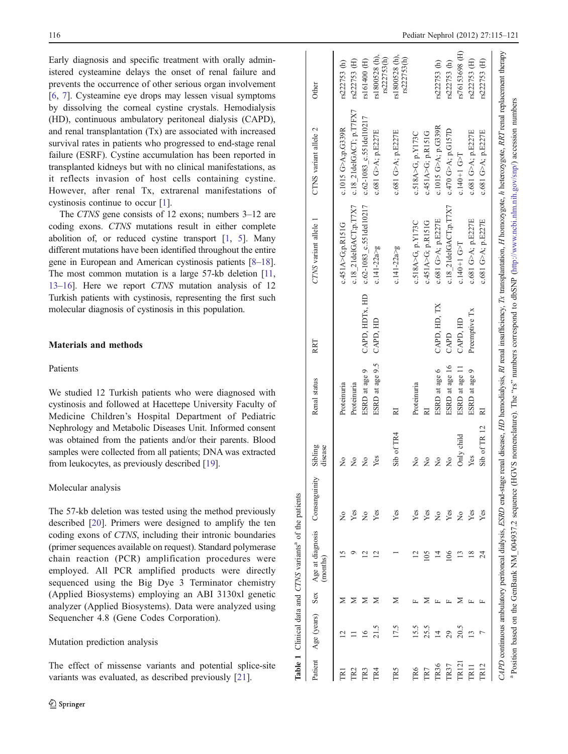<span id="page-1-0"></span>Early diagnosis and specific treatment with orally administered cysteamine delays the onset of renal failure and prevents the occurrence of other serious organ involvement [\[6](#page-5-0), [7](#page-5-0)]. Cysteamine eye drops may lessen visual symptoms by dissolving the corneal cystine crystals. Hemodialysis (HD), continuous ambulatory peritoneal dialysis (CAPD), and renal transplantation (Tx) are associated with increased survival rates in patients who progressed to end-stage renal failure (ESRF). Cystine accumulation has been reported in transplanted kidneys but with no clinical manifestations, as it reflects invasion of host cells containing cystine. However, after renal Tx, extrarenal manifestations of cystinosis continue to occur [\[1](#page-5-0)].

The CTNS gene consists of 12 exons; numbers 3–12 are coding exons. CTNS mutations result in either complete abolition of, or reduced cystine transport [\[1](#page-5-0), [5](#page-5-0)]. Many different mutations have been identified throughout the entire gene in European and American cystinosis patients [\[8](#page-6-0)–[18\]](#page-6-0). The most common mutation is a large 57-kb deletion [\[11,](#page-6-0) [13](#page-6-0)–[16](#page-6-0)]. Here we report CTNS mutation analysis of 12 Turkish patients with cystinosis, representing the first such molecular diagnosis of cystinosis in this population.

### Materials and methods

## Patients

We studied 12 Turkish patients who were diagnosed with cystinosis and followed at Hacettepe University Faculty of Medicine Children's Hospital Department of Pediatric Nephrology and Metabolic Diseases Unit. Informed consent was obtained from the patients and/or their parents. Blood samples were collected from all patients; DNA was extracted from leukocytes, as previously described [[19\]](#page-6-0).

#### Molecular analysis

The 57-kb deletion was tested using the method previously described [\[20](#page-6-0)]. Primers were designed to amplify the ten coding exons of CTNS, including their intronic boundaries (primer sequences available on request). Standard polymerase chain reaction (PCR) amplification procedures were employed. All PCR amplified products were directly sequenced using the Big Dye 3 Terminator chemistry (Applied Biosystems) employing an ABI 3130xl genetic analyzer (Applied Biosystems). Data were analyzed using Sequencher 4.8 (Gene Codes Corporation).

## Mutation prediction analysis

The effect of missense variants and potential splice-site variants was evaluated, as described previously [[21\]](#page-6-0).

|                |                                       |     | Table 1 Clinical data and CTNS variants <sup>a</sup> of the patients |               |                    |                 |                |                         |                                                                                                                                                                                                        |                               |
|----------------|---------------------------------------|-----|----------------------------------------------------------------------|---------------|--------------------|-----------------|----------------|-------------------------|--------------------------------------------------------------------------------------------------------------------------------------------------------------------------------------------------------|-------------------------------|
| Patient        | Age (years)                           | Sex | Age at diagnosis<br>(months)                                         | Consanguinity | Sibling<br>disease | Renal status    | RRT            | CTNS variant allele     | CTNS variant allele 2                                                                                                                                                                                  | Other                         |
|                |                                       |     | n                                                                    | ż             | ž                  | Proteinuria     |                | c.451A > G; p.R151G     | c.1015 G>A;p.G339R                                                                                                                                                                                     | rs222753 (h)                  |
|                |                                       | ⋝   |                                                                      | Yes           | $\frac{1}{2}$      | Proteinuria     |                | c.18 21delGACT;p.T7X7   | c.18 21delGACT; p.T7FX7                                                                                                                                                                                | rs222753 (H)                  |
| 2              | $\stackrel{\circ}{\scriptstyle\circ}$ | ⋝   | ≌                                                                    | $\frac{1}{2}$ | ż                  | ESRD at age 9   | CAPD, HDTx, HD | c.62-1083 c.551del10217 | c.62-1083 c.551del10217                                                                                                                                                                                | rs161400 (H)                  |
| TR4            |                                       | ⋝   |                                                                      | Yes           | Yes                | ESRD at age 9.5 | CAPD, HD       | $c.141 - 22a > g$       | c.681 G>A; p.E227E                                                                                                                                                                                     | rs1800528 (h),<br>rs222753(h) |
| <b>TR5</b>     | 17.5                                  | ⋝   |                                                                      | Yes           | Sib of TR4         | 21              |                | $c.141 - 22a > g$       | c.681 G>A; p.E227E                                                                                                                                                                                     | rs1800528 (h),<br>rs222753(h) |
| P <sub>6</sub> | 15.5                                  |     |                                                                      | Yes           | $\frac{1}{2}$      | Proteinuria     |                | c.518A>G, p.Y173C       | c.518A>G, p.Y173C                                                                                                                                                                                      |                               |
| TR7            | 25.5                                  |     |                                                                      | Yes           | $\frac{1}{2}$      |                 |                | c.451A>G; p.R151G       | c.451A>G; p.R151G                                                                                                                                                                                      |                               |
| IR36           | 호                                     |     |                                                                      | $\frac{1}{2}$ | ż                  | ESRD at age 6   | CAPD, HD, TX   | c.681 G>A; p.E227E      | c.1015 G>A; p.G339R                                                                                                                                                                                    | rs222753 (h)                  |
| TR37           | 29                                    |     | $\frac{8}{100}$                                                      | Yes           | ż                  | ESRD at age 16  | CAPD           | c.18 21delGACT;p.T7X7   | c.470 G>A; p.G157D                                                                                                                                                                                     | rs222753(h)                   |
| IR121          | 20.5                                  |     | ⋍                                                                    | $\frac{1}{2}$ | Only child         | ESRD at age 11  | CAPD, HD       | $c.140 + 1$ G>T         | $c.140 + 1$ G>T                                                                                                                                                                                        | rs76153698 (H)                |
|                | $\mathbf{1}$                          |     | $\frac{8}{2}$                                                        | Yes           | Yes                | ESRD at age 9   | Preemptive Tx  | c.681 G>A; p.E227E      | c.681 G>A; p.E227E                                                                                                                                                                                     | rs222753 (H)                  |
| <b>TR12</b>    |                                       |     | र्द                                                                  | Yes           | Sib of TR 12       | ፼               |                | c.681 G>A; p.E227E      | c.681 G>A; p.E227E                                                                                                                                                                                     | rs222753 (H)                  |
|                |                                       |     |                                                                      |               |                    |                 |                |                         | CAPD continuous ambulatory peritoneal dialysis, ESRD end-stage renal disease, HD hemodialysis, NI renal insufficiency, Tx transplantation, H homozygote, h heterozygote, RRT renal replacement therapy |                               |

a

Position based on the GenBank NM\_004937.2 sequence (HGVS nomenclature). The "rs" numbers correspond to dbSNP [\(http://www.ncbi.nlm.nih.gov/snp/\)](http://www.ncbi.nlm.nih.gov/snp/) accession numbers

Position based on the GenBank NM 004937.2 sequence (HGVS nomenclature). The "rs" numbers correspond to dbSNP (http://www.ncbi.nlm.nih.gov/snp/) accession numbers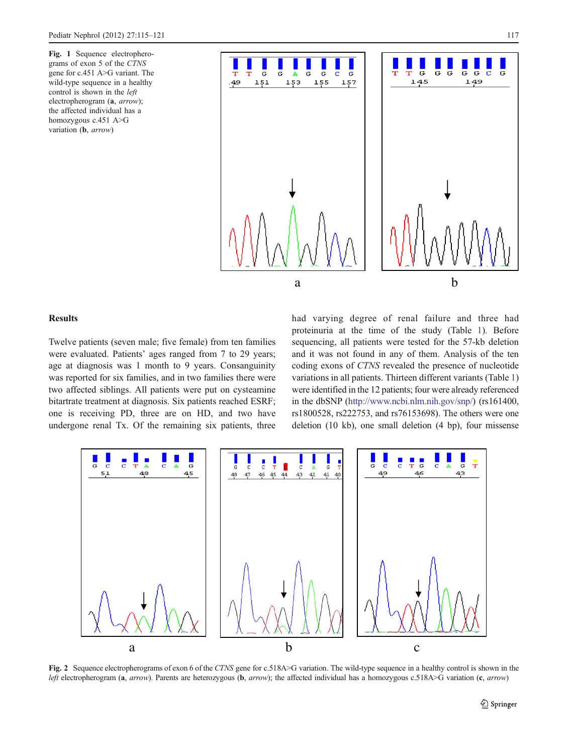<span id="page-2-0"></span>Fig. 1 Sequence electropherograms of exon 5 of the CTNS gene for c.451 A>G variant. The wild-type sequence in a healthy control is shown in the left electropherogram (a, arrow); the affected individual has a homozygous c.451 A>G variation (b, arrow)



## Results

Twelve patients (seven male; five female) from ten families were evaluated. Patients' ages ranged from 7 to 29 years; age at diagnosis was 1 month to 9 years. Consanguinity was reported for six families, and in two families there were two affected siblings. All patients were put on cysteamine bitartrate treatment at diagnosis. Six patients reached ESRF; one is receiving PD, three are on HD, and two have undergone renal Tx. Of the remaining six patients, three had varying degree of renal failure and three had proteinuria at the time of the study (Table [1\)](#page-1-0). Before sequencing, all patients were tested for the 57-kb deletion and it was not found in any of them. Analysis of the ten coding exons of CTNS revealed the presence of nucleotide variations in all patients. Thirteen different variants (Table [1](#page-1-0)) were identified in the 12 patients; four were already referenced in the dbSNP [\(http://www.ncbi.nlm.nih.gov/snp/\)](http://www.ncbi.nlm.nih.gov/snp/) (rs161400, rs1800528, rs222753, and rs76153698). The others were one deletion (10 kb), one small deletion (4 bp), four missense



Fig. 2 Sequence electropherograms of exon 6 of the CTNS gene for c.518A>G variation. The wild-type sequence in a healthy control is shown in the left electropherogram (a, arrow). Parents are heterozygous (b, arrow); the affected individual has a homozygous c.518A>G variation (c, arrow)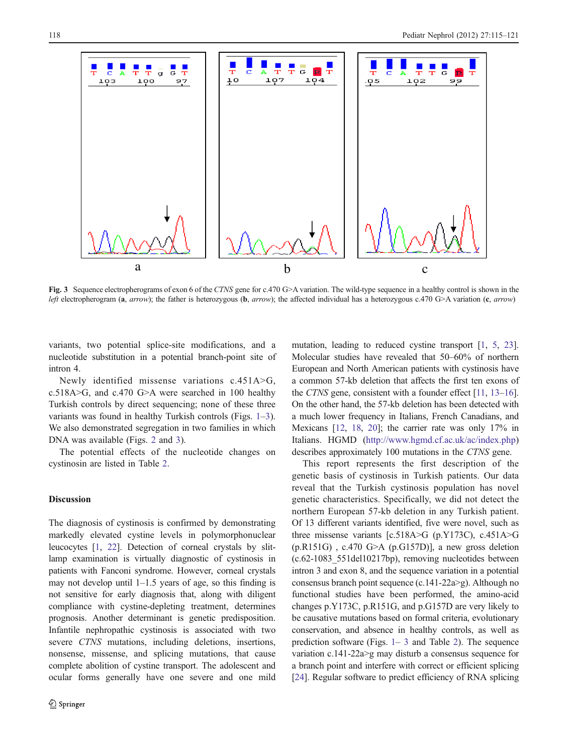<span id="page-3-0"></span>

Fig. 3 Sequence electropherograms of exon 6 of the CTNS gene for c.470 G>A variation. The wild-type sequence in a healthy control is shown in the left electropherogram (a, arrow); the father is heterozygous (b, arrow); the affected individual has a heterozygous c.470 G>A variation (c, arrow)

variants, two potential splice-site modifications, and a nucleotide substitution in a potential branch-point site of intron 4.

Newly identified missense variations c.451A>G, c.518A>G, and c.470 G>A were searched in 100 healthy Turkish controls by direct sequencing; none of these three variants was found in healthy Turkish controls (Figs. [1](#page-2-0)–3). We also demonstrated segregation in two families in which DNA was available (Figs. [2](#page-2-0) and 3).

The potential effects of the nucleotide changes on cystinosin are listed in Table [2](#page-4-0).

#### Discussion

The diagnosis of cystinosis is confirmed by demonstrating markedly elevated cystine levels in polymorphonuclear leucocytes [[1,](#page-5-0) [22\]](#page-6-0). Detection of corneal crystals by slitlamp examination is virtually diagnostic of cystinosis in patients with Fanconi syndrome. However, corneal crystals may not develop until  $1-1.5$  years of age, so this finding is not sensitive for early diagnosis that, along with diligent compliance with cystine-depleting treatment, determines prognosis. Another determinant is genetic predisposition. Infantile nephropathic cystinosis is associated with two severe CTNS mutations, including deletions, insertions, nonsense, missense, and splicing mutations, that cause complete abolition of cystine transport. The adolescent and ocular forms generally have one severe and one mild mutation, leading to reduced cystine transport [\[1](#page-5-0), [5](#page-5-0), [23\]](#page-6-0). Molecular studies have revealed that 50–60% of northern European and North American patients with cystinosis have a common 57-kb deletion that affects the first ten exons of the CTNS gene, consistent with a founder effect [\[11,](#page-6-0) [13](#page-6-0)–[16\]](#page-6-0). On the other hand, the 57-kb deletion has been detected with a much lower frequency in Italians, French Canadians, and Mexicans [[12,](#page-6-0) [18,](#page-6-0) [20\]](#page-6-0); the carrier rate was only 17% in Italians. HGMD (<http://www.hgmd.cf.ac.uk/ac/index.php>) describes approximately 100 mutations in the CTNS gene.

This report represents the first description of the genetic basis of cystinosis in Turkish patients. Our data reveal that the Turkish cystinosis population has novel genetic characteristics. Specifically, we did not detect the northern European 57-kb deletion in any Turkish patient. Of 13 different variants identified, five were novel, such as three missense variants [c.518A>G (p.Y173C), c.451A>G  $(p.R151G)$ , c.470 G>A  $(p.G157D)$ ], a new gross deletion (c.62-1083\_551del10217bp), removing nucleotides between intron 3 and exon 8, and the sequence variation in a potential consensus branch point sequence (c.141-22a>g). Although no functional studies have been performed, the amino-acid changes p.Y173C, p.R151G, and p.G157D are very likely to be causative mutations based on formal criteria, evolutionary conservation, and absence in healthy controls, as well as prediction software (Figs. [1](#page-2-0)– 3 and Table [2](#page-4-0)). The sequence variation c.141-22a>g may disturb a consensus sequence for a branch point and interfere with correct or efficient splicing [\[24](#page-6-0)]. Regular software to predict efficiency of RNA splicing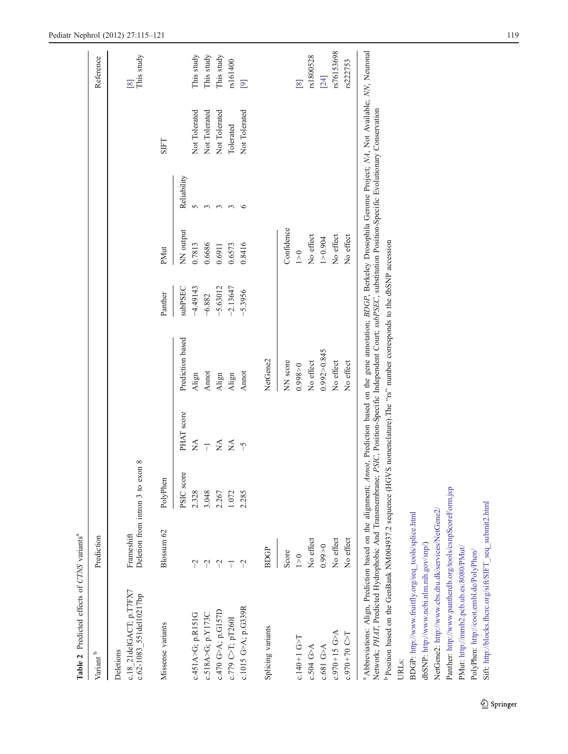<span id="page-4-0"></span>

| Table 2 Predicted effects of CTNS variants <sup>a</sup>                                                                                                                                                                                                                                                                                                                                                                                                                                                          |             |                                              |                               |                  |                |            |             |               |                              |
|------------------------------------------------------------------------------------------------------------------------------------------------------------------------------------------------------------------------------------------------------------------------------------------------------------------------------------------------------------------------------------------------------------------------------------------------------------------------------------------------------------------|-------------|----------------------------------------------|-------------------------------|------------------|----------------|------------|-------------|---------------|------------------------------|
| Variant $^{\rm b}$                                                                                                                                                                                                                                                                                                                                                                                                                                                                                               | Prediction  |                                              |                               |                  |                |            |             |               | Reference                    |
| c.18_21delGACT; p.T7FX7<br>c.62-1083_551del10217bp<br>Deletions                                                                                                                                                                                                                                                                                                                                                                                                                                                  | Frameshift  | $^{\circ}$<br>Deletion from intron 3 to exon |                               |                  |                |            |             |               | This study<br>$\overline{8}$ |
| Missense variants                                                                                                                                                                                                                                                                                                                                                                                                                                                                                                | Blossum 62  | PolyPhen                                     |                               |                  | Panther        | PMut       |             | <b>SIFT</b>   |                              |
|                                                                                                                                                                                                                                                                                                                                                                                                                                                                                                                  |             | PSIC score                                   | PHAT score                    | Prediction based | <b>SubPSEC</b> | NN output  | Reliability |               |                              |
| c.451A>G; p.R151G                                                                                                                                                                                                                                                                                                                                                                                                                                                                                                | $\gamma$    | 2.328                                        | $\stackrel{\Delta}{\simeq}$   | Align            | $-4.49143$     | 0.7813     | 5           | Not Tolerated | This study                   |
| c.518A>G; p.Y173C                                                                                                                                                                                                                                                                                                                                                                                                                                                                                                | $\gamma$    | 3.048                                        | $\overline{1}$                | Annot            | $-6.882$       | 0.6686     | 3           | Not Tolerated | This study                   |
| c.470 G>A; p.G157D                                                                                                                                                                                                                                                                                                                                                                                                                                                                                               | $\gamma$    | 2.267                                        | $\tilde{\geq}$ $\tilde{\geq}$ | Align            | 5.63012        | 0.6911     | $\epsilon$  | Not Tolerated | This study                   |
| c.779 C>T; pT260I                                                                                                                                                                                                                                                                                                                                                                                                                                                                                                | T           | 1.072                                        |                               | Align            | $-2.13647$     | 0.6573     | 3           | Tolerated     | rs161400                     |
| c.1015 G>A; p.G339R                                                                                                                                                                                                                                                                                                                                                                                                                                                                                              | $\tilde{a}$ | 2.285                                        | $\overline{C}$                | Annot            | $-5.3956$      | 0.8416     | $\circ$     | Not Tolerated | $\overline{[9]}$             |
| Splicing variants                                                                                                                                                                                                                                                                                                                                                                                                                                                                                                | <b>BDGP</b> |                                              |                               | NetGene2         |                |            |             |               |                              |
|                                                                                                                                                                                                                                                                                                                                                                                                                                                                                                                  | Score       |                                              |                               | NN score         |                | Confidence |             |               |                              |
| $c.140 + 1$ G>T                                                                                                                                                                                                                                                                                                                                                                                                                                                                                                  | 1>0         |                                              |                               | 0.998 > 0        |                | 1 > 0      |             |               | $\infty$                     |
| c.504 G>A                                                                                                                                                                                                                                                                                                                                                                                                                                                                                                        | No effect   |                                              |                               | No effect        |                | No effect  |             |               | rs1800528                    |
| $c.681$ G>A                                                                                                                                                                                                                                                                                                                                                                                                                                                                                                      | 0.99 > 0    |                                              |                               | 0.992 > 0.845    |                | 1 > 0.904  |             |               | $[24]$                       |
| $c.970 + 15$ G $>A$                                                                                                                                                                                                                                                                                                                                                                                                                                                                                              | No effect   |                                              |                               | No effect        |                | No effect  |             |               | rs76153698                   |
| $c.970 + 70$ C $\sim$ T                                                                                                                                                                                                                                                                                                                                                                                                                                                                                          | No effect   |                                              |                               | No effect        |                | No effect  |             |               | rs222753                     |
| <sup>a</sup> Abbreviations: Align, Prediction based on the alignment; Annot, Prediction based on the gene annotation; BOCP; Berkeley Drosophila Gerome Project; NA, Not Available; NN, Neuronal<br>Network, PH4T, Predicted Hydrophobic And Transmembrane; PSIC, Position-Specific Independent Court; subPSEC, substitution Position-Specific Evolutionary Conservation<br><sup>b</sup> Position based on the GenBank NM004937.2 sequence (HGVS nomenclature).The "rs" number corresponds to the dbSNP accession |             |                                              |                               |                  |                |            |             |               |                              |
| URL <sub>S</sub> :                                                                                                                                                                                                                                                                                                                                                                                                                                                                                               |             |                                              |                               |                  |                |            |             |               |                              |
| BDGP: http://www.fruitfly.org/seq_tools/splice.html                                                                                                                                                                                                                                                                                                                                                                                                                                                              |             |                                              |                               |                  |                |            |             |               |                              |

Sift: [http://blocks.fhcrc.org/sift/SIFT\\_seq\\_submit2.html](http://blocks.fhcrc.org/sift/SIFT_seq_submit2.html)

Sift: http://blocks.fhcrc.org/sift/SIFT\_seq\_submit2.html

dbSNP: [http://www.ncbi.nlm.nih.gov/snp/\)](http://www.ncbi.nlm.nih.gov/snp/)

dbSNP: http://www.ncbi.nlm.nih.gov/snp/)

NetGene2: <http://www.cbs.dtu.dk/services/NetGene2/> Panther: <http://www.pantherdb.org/tools/csnpScoreForm.jsp>

NetGene2: http://www.cbs.dtu.dk/services/NetGene2/

Panther: http://www.pantherdb.org/tools/csnpScoreForm.jsp

PMut: <http://mmb2.pcb.ub.es:8080/PMut/> PolyPhen: <http://coot.embl.de/PolyPhen/>

PolyPhen: http://coot.embl.de/PolyPhen/

PMut: http://mmb2.pcb.ub.es:8080/PMut/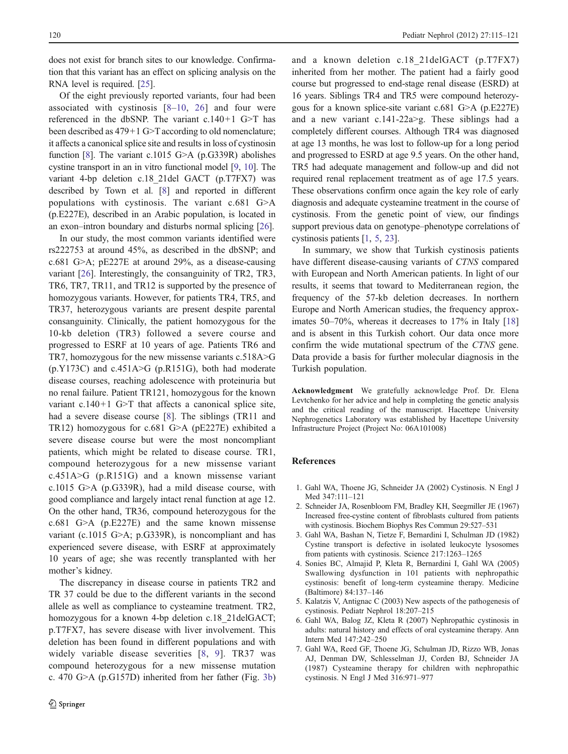<span id="page-5-0"></span>does not exist for branch sites to our knowledge. Confirmation that this variant has an effect on splicing analysis on the RNA level is required. [\[25](#page-6-0)].

Of the eight previously reported variants, four had been associated with cystinosis [[8](#page-6-0)–[10](#page-6-0), [26\]](#page-6-0) and four were referenced in the dbSNP. The variant c.140+1 G>T has been described as 479+1 G>T according to old nomenclature; it affects a canonical splice site and results in loss of cystinosin function [[8\]](#page-6-0). The variant c.1015 G $\geq$ A (p.G339R) abolishes cystine transport in an in vitro functional model [\[9](#page-6-0), [10](#page-6-0)]. The variant 4-bp deletion c.18\_21del GACT (p.T7FX7) was described by Town et al. [\[8\]](#page-6-0) and reported in different populations with cystinosis. The variant c.681 G>A (p.E227E), described in an Arabic population, is located in an exon–intron boundary and disturbs normal splicing [\[26](#page-6-0)].

In our study, the most common variants identified were rs222753 at around 45%, as described in the dbSNP; and c.681 G>A; pE227E at around 29%, as a disease-causing variant [\[26](#page-6-0)]. Interestingly, the consanguinity of TR2, TR3, TR6, TR7, TR11, and TR12 is supported by the presence of homozygous variants. However, for patients TR4, TR5, and TR37, heterozygous variants are present despite parental consanguinity. Clinically, the patient homozygous for the 10-kb deletion (TR3) followed a severe course and progressed to ESRF at 10 years of age. Patients TR6 and TR7, homozygous for the new missense variants c.518A>G  $(p.Y173C)$  and  $c.451A>G$  (p.R151G), both had moderate disease courses, reaching adolescence with proteinuria but no renal failure. Patient TR121, homozygous for the known variant c.140+1 G>T that affects a canonical splice site, had a severe disease course [[8\]](#page-6-0). The siblings (TR11 and TR12) homozygous for c.681 G>A (pE227E) exhibited a severe disease course but were the most noncompliant patients, which might be related to disease course. TR1, compound heterozygous for a new missense variant c.451A>G (p.R151G) and a known missense variant c.1015 G>A (p.G339R), had a mild disease course, with good compliance and largely intact renal function at age 12. On the other hand, TR36, compound heterozygous for the c.681 G>A (p.E227E) and the same known missense variant (c.1015 G>A; p.G339R), is noncompliant and has experienced severe disease, with ESRF at approximately 10 years of age; she was recently transplanted with her mother's kidney.

The discrepancy in disease course in patients TR2 and TR 37 could be due to the different variants in the second allele as well as compliance to cysteamine treatment. TR2, homozygous for a known 4-bp deletion c.18 21delGACT; p.T7FX7, has severe disease with liver involvement. This deletion has been found in different populations and with widely variable disease severities [[8](#page-6-0), [9\]](#page-6-0). TR37 was compound heterozygous for a new missense mutation c. 470 G>A (p.G157D) inherited from her father (Fig. [3b\)](#page-3-0) and a known deletion c.18\_21delGACT (p.T7FX7) inherited from her mother. The patient had a fairly good course but progressed to end-stage renal disease (ESRD) at 16 years. Siblings TR4 and TR5 were compound heterozygous for a known splice-site variant c.681 G>A (p.E227E) and a new variant c.141-22a>g. These siblings had a completely different courses. Although TR4 was diagnosed at age 13 months, he was lost to follow-up for a long period and progressed to ESRD at age 9.5 years. On the other hand, TR5 had adequate management and follow-up and did not required renal replacement treatment as of age 17.5 years. These observations confirm once again the key role of early diagnosis and adequate cysteamine treatment in the course of cystinosis. From the genetic point of view, our findings support previous data on genotype–phenotype correlations of cystinosis patients [1, 5, [23](#page-6-0)].

In summary, we show that Turkish cystinosis patients have different disease-causing variants of CTNS compared with European and North American patients. In light of our results, it seems that toward to Mediterranean region, the frequency of the 57-kb deletion decreases. In northern Europe and North American studies, the frequency approx-imates 50–70%, whereas it decreases to 17% in Italy [\[18](#page-6-0)] and is absent in this Turkish cohort. Our data once more confirm the wide mutational spectrum of the CTNS gene. Data provide a basis for further molecular diagnosis in the Turkish population.

Acknowledgment We gratefully acknowledge Prof. Dr. Elena Levtchenko for her advice and help in completing the genetic analysis and the critical reading of the manuscript. Hacettepe University Nephrogenetics Laboratory was established by Hacettepe University Infrastructure Project (Project No: 06A101008)

#### References

- 1. Gahl WA, Thoene JG, Schneider JA (2002) Cystinosis. N Engl J Med 347:111–121
- 2. Schneider JA, Rosenbloom FM, Bradley KH, Seegmiller JE (1967) Increased free-cystine content of fibroblasts cultured from patients with cystinosis. Biochem Biophys Res Commun 29:527–531
- 3. Gahl WA, Bashan N, Tietze F, Bernardini I, Schulman JD (1982) Cystine transport is defective in isolated leukocyte lysosomes from patients with cystinosis. Science 217:1263–1265
- 4. Sonies BC, Almajid P, Kleta R, Bernardini I, Gahl WA (2005) Swallowing dysfunction in 101 patients with nephropathic cystinosis: benefit of long-term cysteamine therapy. Medicine (Baltimore) 84:137–146
- 5. Kalatzis V, Antignac C (2003) New aspects of the pathogenesis of cystinosis. Pediatr Nephrol 18:207–215
- 6. Gahl WA, Balog JZ, Kleta R (2007) Nephropathic cystinosis in adults: natural history and effects of oral cysteamine therapy. Ann Intern Med 147:242–250
- 7. Gahl WA, Reed GF, Thoene JG, Schulman JD, Rizzo WB, Jonas AJ, Denman DW, Schlesselman JJ, Corden BJ, Schneider JA (1987) Cysteamine therapy for children with nephropathic cystinosis. N Engl J Med 316:971–977